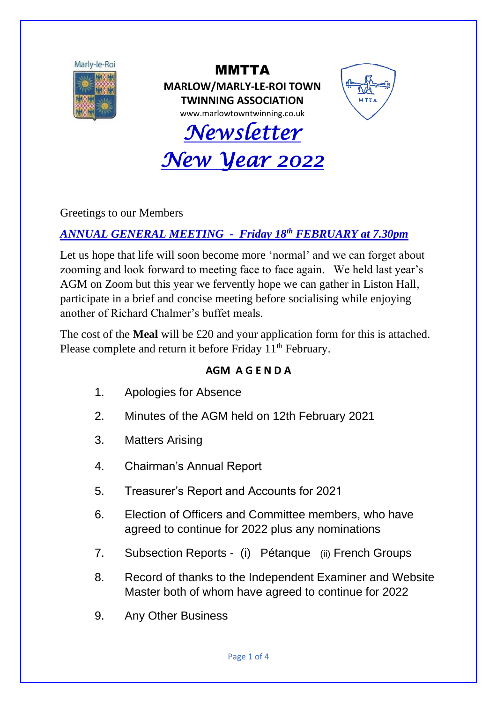

MMTTA **MARLOW/MARLY-LE-ROI TOWN TWINNING ASSOCIATION** www.marlowtowntwinning.co.uk



*Newsletter New Year 2022* 

Greetings to our Members

### *ANNUAL GENERAL MEETING - Friday 18 th FEBRUARY at 7.30pm*

Let us hope that life will soon become more 'normal' and we can forget about zooming and look forward to meeting face to face again. We held last year's AGM on Zoom but this year we fervently hope we can gather in Liston Hall, participate in a brief and concise meeting before socialising while enjoying another of Richard Chalmer's buffet meals.

The cost of the **Meal** will be £20 and your application form for this is attached. Please complete and return it before Friday 11<sup>th</sup> February.

### **AGM A G E N D A**

- 1. Apologies for Absence
- 2. Minutes of the AGM held on 12th February 2021
- 3. Matters Arising
- 4. Chairman's Annual Report
- 5. Treasurer's Report and Accounts for 2021
- 6. Election of Officers and Committee members, who have agreed to continue for 2022 plus any nominations
- 7. Subsection Reports (i) Pétanque (ii) French Groups
- 8. Record of thanks to the Independent Examiner and Website Master both of whom have agreed to continue for 2022
- 9. Any Other Business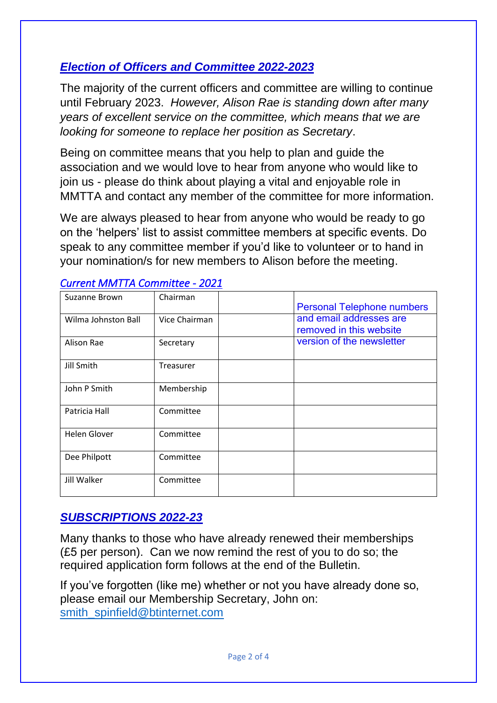## *Election of Officers and Committee 2022-2023*

The majority of the current officers and committee are willing to continue until February 2023. *However, Alison Rae is standing down after many years of excellent service on the committee, which means that we are looking for someone to replace her position as Secretary*.

Being on committee means that you help to plan and guide the association and we would love to hear from anyone who would like to join us - please do think about playing a vital and enjoyable role in MMTTA and contact any member of the committee for more information.

We are always pleased to hear from anyone who would be ready to go on the 'helpers' list to assist committee members at specific events. Do speak to any committee member if you'd like to volunteer or to hand in your nomination/s for new members to Alison before the meeting.

| Suzanne Brown       | Chairman      | <b>Personal Telephone numbers</b>                  |
|---------------------|---------------|----------------------------------------------------|
| Wilma Johnston Ball | Vice Chairman | and email addresses are<br>removed in this website |
| Alison Rae          | Secretary     | version of the newsletter                          |
| Jill Smith          | Treasurer     |                                                    |
| John P Smith        | Membership    |                                                    |
| Patricia Hall       | Committee     |                                                    |
| <b>Helen Glover</b> | Committee     |                                                    |
| Dee Philpott        | Committee     |                                                    |
| Jill Walker         | Committee     |                                                    |

#### *Current MMTTA Committee - 2021*

### *SUBSCRIPTIONS 2022-23*

Many thanks to those who have already renewed their memberships (£5 per person). Can we now remind the rest of you to do so; the required application form follows at the end of the Bulletin.

If you've forgotten (like me) whether or not you have already done so, please email our Membership Secretary, John on: [smith\\_spinfield@btinternet.com](mailto:smith_spinfield@btinternet.com)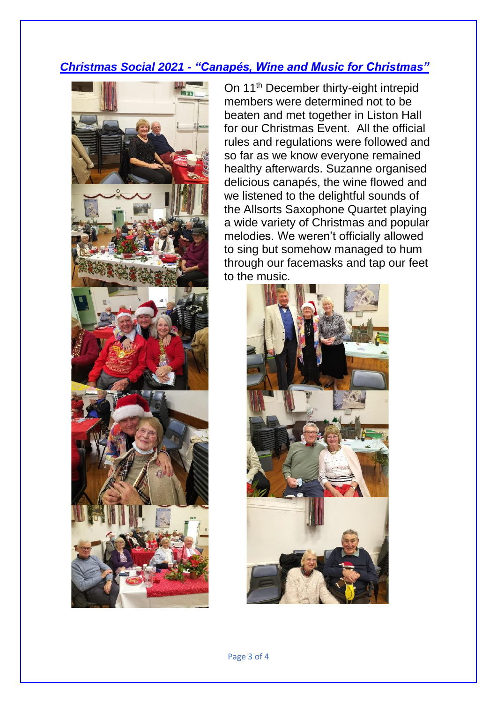### *Christmas Social 2021 - "Canapés, Wine and Music for Christmas"*



On 11<sup>th</sup> December thirty-eight intrepid members were determined not to be beaten and met together in Liston Hall for our Christmas Event. All the official rules and regulations were followed and so far as we know everyone remained healthy afterwards. Suzanne organised delicious canapés, the wine flowed and we listened to the delightful sounds of the Allsorts Saxophone Quartet playing a wide variety of Christmas and popular melodies. We weren't officially allowed to sing but somehow managed to hum through our facemasks and tap our feet to the music.